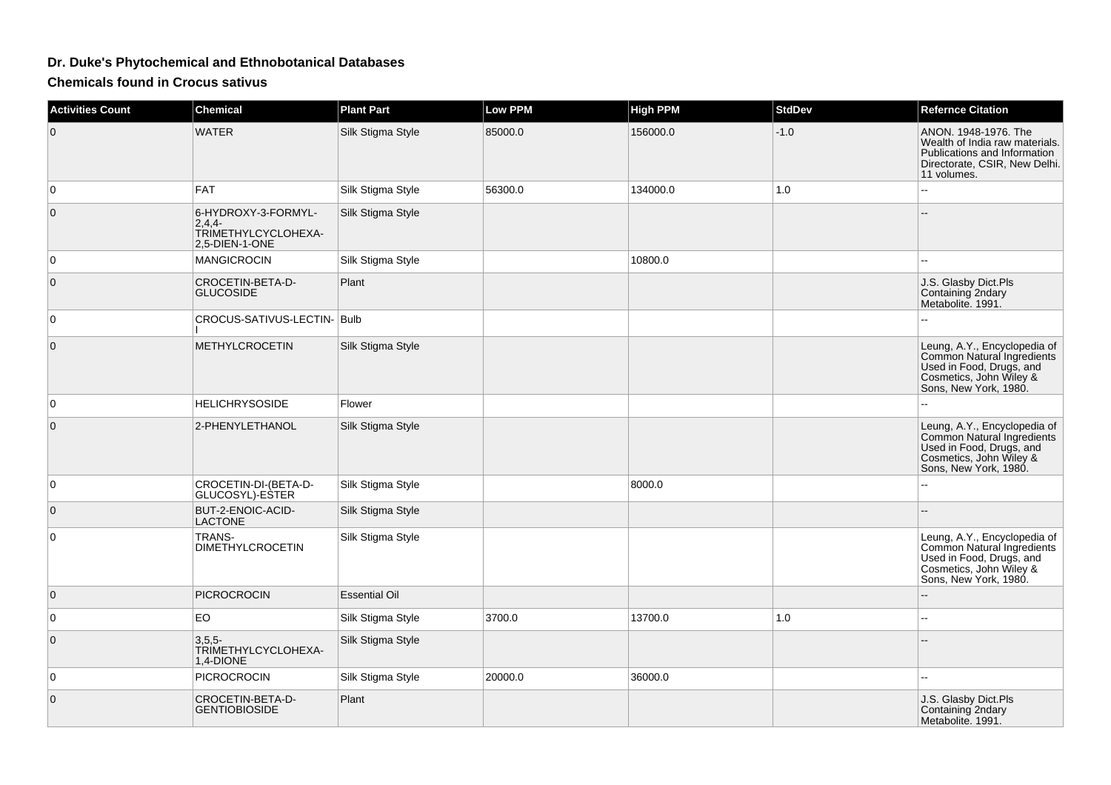## **Dr. Duke's Phytochemical and Ethnobotanical Databases**

**Chemicals found in Crocus sativus**

| <b>Activities Count</b> | <b>Chemical</b>                                                       | <b>Plant Part</b>    | <b>Low PPM</b> | <b>High PPM</b> | <b>StdDev</b> | <b>Refernce Citation</b>                                                                                                                   |
|-------------------------|-----------------------------------------------------------------------|----------------------|----------------|-----------------|---------------|--------------------------------------------------------------------------------------------------------------------------------------------|
| $\mathbf 0$             | <b>WATER</b>                                                          | Silk Stigma Style    | 85000.0        | 156000.0        | $-1.0$        | ANON, 1948-1976, The<br>Wealth of India raw materials.<br>Publications and Information<br>Directorate, CSIR, New Delhi.<br>11 volumes.     |
| 0                       | <b>FAT</b>                                                            | Silk Stigma Style    | 56300.0        | 134000.0        | $1.0$         |                                                                                                                                            |
| $\mathbf 0$             | 6-HYDROXY-3-FORMYL-<br>2,4,4<br>TRIMETHYLCYCLOHEXA-<br>2,5-DIEN-1-ONE | Silk Stigma Style    |                |                 |               |                                                                                                                                            |
| 0                       | <b>MANGICROCIN</b>                                                    | Silk Stigma Style    |                | 10800.0         |               |                                                                                                                                            |
| $\mathbf{0}$            | CROCETIN-BETA-D-<br><b>GLUCOSIDE</b>                                  | Plant                |                |                 |               | J.S. Glasby Dict.Pls<br>Containing 2ndary<br>Metabolite. 1991.                                                                             |
| $\mathbf 0$             | CROCUS-SATIVUS-LECTIN- Bulb                                           |                      |                |                 |               |                                                                                                                                            |
| $\mathbf 0$             | <b>METHYLCROCETIN</b>                                                 | Silk Stigma Style    |                |                 |               | Leung, A.Y., Encyclopedia of<br>Common Natural Ingredients<br>Used in Food, Drugs, and<br>Cosmetics, John Wiley &<br>Sons, New York, 1980. |
| $\mathbf 0$             | <b>HELICHRYSOSIDE</b>                                                 | Flower               |                |                 |               | Ξ.                                                                                                                                         |
| $\mathbf 0$             | 2-PHENYLETHANOL                                                       | Silk Stigma Style    |                |                 |               | Leung, A.Y., Encyclopedia of<br>Common Natural Ingredients<br>Used in Food, Drugs, and<br>Cosmetics, John Wiley &<br>Sons, New York, 1980. |
| 0                       | CROCETIN-DI-(BETA-D-<br>GLUCOSYL)-ESTER                               | Silk Stigma Style    |                | 8000.0          |               |                                                                                                                                            |
| $\mathbf 0$             | BUT-2-ENOIC-ACID-<br><b>LACTONE</b>                                   | Silk Stigma Style    |                |                 |               |                                                                                                                                            |
| 0                       | TRANS-<br><b>DIMETHYLCROCETIN</b>                                     | Silk Stigma Style    |                |                 |               | Leung, A.Y., Encyclopedia of<br>Common Natural Ingredients<br>Used in Food, Drugs, and<br>Cosmetics, John Wiley &<br>Sons, New York, 1980. |
| $\mathbf{0}$            | <b>PICROCROCIN</b>                                                    | <b>Essential Oil</b> |                |                 |               |                                                                                                                                            |
| 0                       | EO                                                                    | Silk Stigma Style    | 3700.0         | 13700.0         | 1.0           | ۵.                                                                                                                                         |
| $\mathbf 0$             | $3,5,5-$<br>TRIMETHYLCYCLOHEXA-<br>1,4-DIONE                          | Silk Stigma Style    |                |                 |               |                                                                                                                                            |
| 0                       | <b>PICROCROCIN</b>                                                    | Silk Stigma Style    | 20000.0        | 36000.0         |               |                                                                                                                                            |
| $\mathbf 0$             | CROCETIN-BETA-D-<br><b>GENTIOBIOSIDE</b>                              | Plant                |                |                 |               | J.S. Glasby Dict.Pls<br>Containing 2ndary<br>Metabolite. 1991.                                                                             |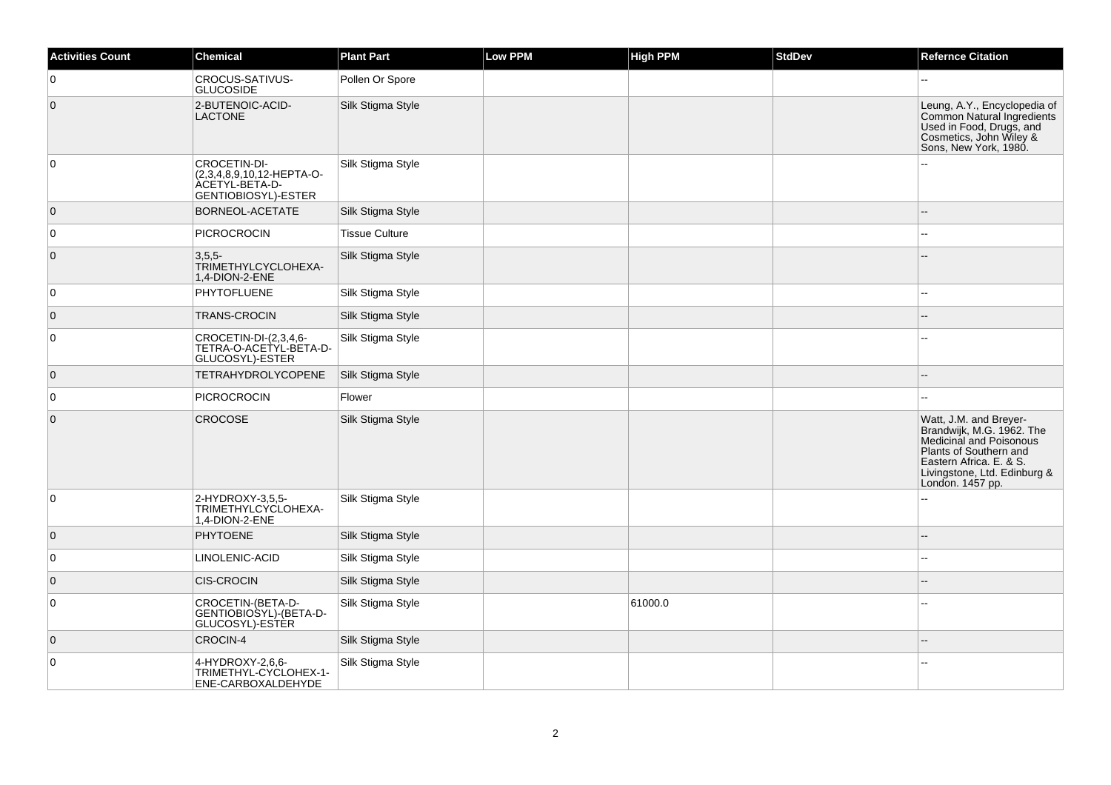| <b>Activities Count</b> | Chemical                                                                                  | <b>Plant Part</b>     | Low PPM | <b>High PPM</b> | <b>StdDev</b> | <b>Refernce Citation</b>                                                                                                                                                                |
|-------------------------|-------------------------------------------------------------------------------------------|-----------------------|---------|-----------------|---------------|-----------------------------------------------------------------------------------------------------------------------------------------------------------------------------------------|
| 0                       | <b>CROCUS-SATIVUS-</b><br><b>GLUCOSIDE</b>                                                | Pollen Or Spore       |         |                 |               |                                                                                                                                                                                         |
| $\overline{0}$          | 2-BUTENOIC-ACID-<br><b>LACTONE</b>                                                        | Silk Stigma Style     |         |                 |               | Leung, A.Y., Encyclopedia of<br>Common Natural Ingredients<br>Used in Food, Drugs, and<br>Cosmetics, John Wiley &<br>Sons, New York, 1980.                                              |
| 0                       | CROCETIN-DI-<br>(2,3,4,8,9,10,12-HEPTA-O-<br><b>ACETYL-BETA-D-</b><br>GENTIOBIOSYL)-ESTER | Silk Stigma Style     |         |                 |               |                                                                                                                                                                                         |
| $\overline{0}$          | <b>BORNEOL-ACETATE</b>                                                                    | Silk Stigma Style     |         |                 |               |                                                                                                                                                                                         |
| $\mathbf 0$             | PICROCROCIN                                                                               | <b>Tissue Culture</b> |         |                 |               |                                                                                                                                                                                         |
| $\mathbf 0$             | $3,5,5$ -<br>TRIMETHYLCYCLOHEXA-<br>1.4-DION-2-ENE                                        | Silk Stigma Style     |         |                 |               |                                                                                                                                                                                         |
| 0                       | <b>PHYTOFLUENE</b>                                                                        | Silk Stigma Style     |         |                 |               |                                                                                                                                                                                         |
| $\overline{0}$          | <b>TRANS-CROCIN</b>                                                                       | Silk Stigma Style     |         |                 |               | --                                                                                                                                                                                      |
| $\pmb{0}$               | CROCETIN-DI-(2,3,4,6-<br>TETRA-O-ACETYL-BETA-D-<br>GLUCOSYL)-ESTER                        | Silk Stigma Style     |         |                 |               |                                                                                                                                                                                         |
| $\overline{0}$          | <b>TETRAHYDROLYCOPENE</b>                                                                 | Silk Stigma Style     |         |                 |               |                                                                                                                                                                                         |
| $\mathbf 0$             | <b>PICROCROCIN</b>                                                                        | Flower                |         |                 |               |                                                                                                                                                                                         |
| $\overline{0}$          | <b>CROCOSE</b>                                                                            | Silk Stigma Style     |         |                 |               | Watt, J.M. and Breyer-<br>Brandwijk, M.G. 1962. The<br>Medicinal and Poisonous<br>Plants of Southern and<br>Eastern Africa. E. & S.<br>Livingstone, Ltd. Edinburg &<br>London. 1457 pp. |
| 0                       | 2-HYDROXY-3,5,5-<br>TRIMETHYLCYCLOHEXA-<br>1,4-DION-2-ENE                                 | Silk Stigma Style     |         |                 |               |                                                                                                                                                                                         |
| $\overline{0}$          | <b>PHYTOENE</b>                                                                           | Silk Stigma Style     |         |                 |               |                                                                                                                                                                                         |
| 0                       | <b>LINOLENIC-ACID</b>                                                                     | Silk Stigma Style     |         |                 |               | --                                                                                                                                                                                      |
| $\overline{0}$          | <b>CIS-CROCIN</b>                                                                         | Silk Stigma Style     |         |                 |               | $\overline{a}$                                                                                                                                                                          |
| 0                       | CROCETIN-(BETA-D-<br>GENTIOBIOSYL)-(BETA-D-<br>GLUCOSYL)-ESTÈR                            | Silk Stigma Style     |         | 61000.0         |               |                                                                                                                                                                                         |
| $\overline{0}$          | CROCIN-4                                                                                  | Silk Stigma Style     |         |                 |               |                                                                                                                                                                                         |
| 0                       | 4-HYDROXY-2,6,6-<br>TRIMETHYL-CYCLOHEX-1-<br>ENE-CARBOXALDEHYDE                           | Silk Stigma Style     |         |                 |               | $\overline{a}$                                                                                                                                                                          |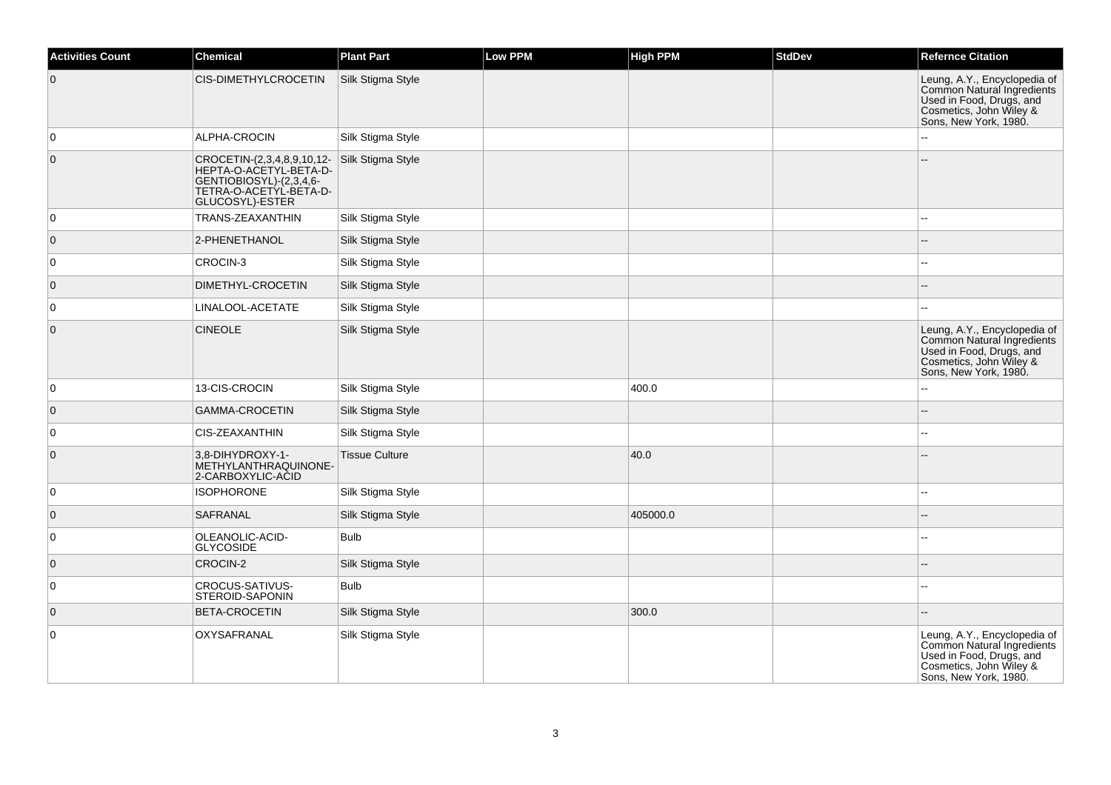| <b>Activities Count</b> | Chemical                                                                                                                     | <b>Plant Part</b>     | <b>Low PPM</b> | <b>High PPM</b> | <b>StdDev</b> | <b>Refernce Citation</b>                                                                                                                   |
|-------------------------|------------------------------------------------------------------------------------------------------------------------------|-----------------------|----------------|-----------------|---------------|--------------------------------------------------------------------------------------------------------------------------------------------|
| $\overline{0}$          | CIS-DIMETHYLCROCETIN                                                                                                         | Silk Stigma Style     |                |                 |               | Leung, A.Y., Encyclopedia of<br>Common Natural Ingredients<br>Used in Food, Drugs, and<br>Cosmetics, John Wiley &<br>Sons, New York, 1980. |
| $\mathbf 0$             | ALPHA-CROCIN                                                                                                                 | Silk Stigma Style     |                |                 |               |                                                                                                                                            |
| $\mathbf{0}$            | CROCETIN-(2,3,4,8,9,10,12-<br>HEPTA-O-ACETYL-BETA-D-<br>GENTIOBIOSYL)-(2,3,4,6-<br>TETRA-O-ACETYL-BETA-D-<br>GLUCOSYL)-ESTER | Silk Stigma Style     |                |                 |               |                                                                                                                                            |
| 0                       | TRANS-ZEAXANTHIN                                                                                                             | Silk Stigma Style     |                |                 |               | $=$                                                                                                                                        |
| $\overline{0}$          | 2-PHENETHANOL                                                                                                                | Silk Stigma Style     |                |                 |               |                                                                                                                                            |
| 0                       | CROCIN-3                                                                                                                     | Silk Stigma Style     |                |                 |               | --                                                                                                                                         |
| $\overline{0}$          | DIMETHYL-CROCETIN                                                                                                            | Silk Stigma Style     |                |                 |               |                                                                                                                                            |
| 0                       | LINALOOL-ACETATE                                                                                                             | Silk Stigma Style     |                |                 |               |                                                                                                                                            |
| $\mathbf 0$             | <b>CINEOLE</b>                                                                                                               | Silk Stigma Style     |                |                 |               | Leung, A.Y., Encyclopedia of<br>Common Natural Ingredients<br>Used in Food, Drugs, and<br>Cosmetics, John Wiley &<br>Sons, New York, 1980. |
| 0                       | 13-CIS-CROCIN                                                                                                                | Silk Stigma Style     |                | 400.0           |               | 44                                                                                                                                         |
| $\mathbf 0$             | <b>GAMMA-CROCETIN</b>                                                                                                        | Silk Stigma Style     |                |                 |               |                                                                                                                                            |
| 0                       | CIS-ZEAXANTHIN                                                                                                               | Silk Stigma Style     |                |                 |               | --                                                                                                                                         |
| $\overline{0}$          | 3,8-DIHYDROXY-1-<br>METHYLANTHRAQUINONE-<br>2-CARBOXYLIC-ACID                                                                | <b>Tissue Culture</b> |                | 40.0            |               |                                                                                                                                            |
| $\mathbf 0$             | <b>ISOPHORONE</b>                                                                                                            | Silk Stigma Style     |                |                 |               |                                                                                                                                            |
| $\overline{0}$          | SAFRANAL                                                                                                                     | Silk Stigma Style     |                | 405000.0        |               |                                                                                                                                            |
| $\mathbf 0$             | OLEANOLIC-ACID-<br><b>GLYCOSIDE</b>                                                                                          | <b>Bulb</b>           |                |                 |               | ۵.                                                                                                                                         |
| $\overline{0}$          | CROCIN-2                                                                                                                     | Silk Stigma Style     |                |                 |               |                                                                                                                                            |
| $\mathsf 0$             | <b>CROCUS-SATIVUS-</b><br>STEROID-SAPONIN                                                                                    | <b>Bulb</b>           |                |                 |               | ۵.                                                                                                                                         |
| $\mathbf{0}$            | BETA-CROCETIN                                                                                                                | Silk Stigma Style     |                | 300.0           |               |                                                                                                                                            |
| $\mathbf 0$             | OXYSAFRANAL                                                                                                                  | Silk Stigma Style     |                |                 |               | Leung, A.Y., Encyclopedia of<br>Common Natural Ingredients<br>Used in Food, Drugs, and<br>Cosmetics, John Wiley &<br>Sons, New York, 1980. |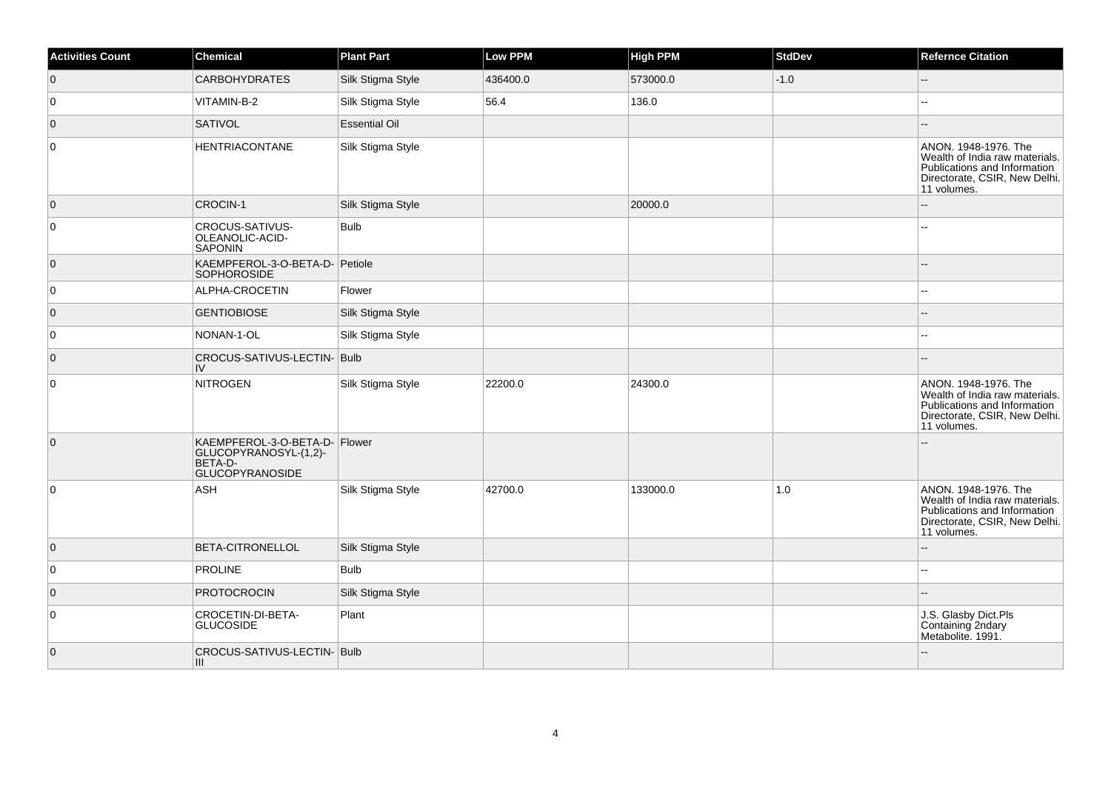| <b>Activities Count</b> | <b>Chemical</b>                                                                             | <b>Plant Part</b>    | Low PPM  | <b>High PPM</b> | <b>StdDev</b> | <b>Refernce Citation</b>                                                                                                               |
|-------------------------|---------------------------------------------------------------------------------------------|----------------------|----------|-----------------|---------------|----------------------------------------------------------------------------------------------------------------------------------------|
| $\overline{0}$          | <b>CARBOHYDRATES</b>                                                                        | Silk Stigma Style    | 436400.0 | 573000.0        | $-1.0$        | $-$                                                                                                                                    |
| 0                       | VITAMIN-B-2                                                                                 | Silk Stigma Style    | 56.4     | 136.0           |               |                                                                                                                                        |
| $\overline{0}$          | <b>SATIVOL</b>                                                                              | <b>Essential Oil</b> |          |                 |               |                                                                                                                                        |
| $\overline{0}$          | <b>HENTRIACONTANE</b>                                                                       | Silk Stigma Style    |          |                 |               | ANON. 1948-1976. The<br>Wealth of India raw materials.<br>Publications and Information<br>Directorate, CSIR, New Delhi.<br>11 volumes. |
| $\overline{0}$          | CROCIN-1                                                                                    | Silk Stigma Style    |          | 20000.0         |               | ż.                                                                                                                                     |
| $\overline{0}$          | CROCUS-SATIVUS-<br>OLEANOLIC-ACID-<br><b>SAPONIN</b>                                        | <b>Bulb</b>          |          |                 |               |                                                                                                                                        |
| $\overline{0}$          | KAEMPFEROL-3-O-BETA-D- Petiole<br><b>SOPHOROSIDE</b>                                        |                      |          |                 |               |                                                                                                                                        |
| 0                       | ALPHA-CROCETIN                                                                              | Flower               |          |                 |               | н.                                                                                                                                     |
| $\overline{0}$          | <b>GENTIOBIOSE</b>                                                                          | Silk Stigma Style    |          |                 |               |                                                                                                                                        |
| 0                       | NONAN-1-OL                                                                                  | Silk Stigma Style    |          |                 |               |                                                                                                                                        |
| $\overline{0}$          | CROCUS-SATIVUS-LECTIN- Bulb<br>IV                                                           |                      |          |                 |               |                                                                                                                                        |
| $\overline{0}$          | <b>NITROGEN</b>                                                                             | Silk Stigma Style    | 22200.0  | 24300.0         |               | ANON. 1948-1976. The<br>Wealth of India raw materials.<br>Publications and Information<br>Directorate, CSIR, New Delhi.<br>11 volumes. |
| $\overline{0}$          | KAEMPFEROL-3-O-BETA-D- Flower<br>GLUCOPYRANOSYL-(1,2)-<br>BETA-D-<br><b>GLUCOPYRANOSIDE</b> |                      |          |                 |               |                                                                                                                                        |
| $\overline{0}$          | ASH                                                                                         | Silk Stigma Style    | 42700.0  | 133000.0        | $1.0$         | ANON. 1948-1976. The<br>Wealth of India raw materials.<br>Publications and Information<br>Directorate, CSIR, New Delhi.<br>11 volumes. |
| $\overline{0}$          | <b>BETA-CITRONELLOL</b>                                                                     | Silk Stigma Style    |          |                 |               |                                                                                                                                        |
| $\overline{0}$          | <b>PROLINE</b>                                                                              | <b>Bulb</b>          |          |                 |               |                                                                                                                                        |
| $\overline{0}$          | <b>PROTOCROCIN</b>                                                                          | Silk Stigma Style    |          |                 |               |                                                                                                                                        |
| $\overline{0}$          | CROCETIN-DI-BETA-<br><b>GLUCOSIDE</b>                                                       | Plant                |          |                 |               | J.S. Glasby Dict.Pls<br>Containing 2ndary<br>Metabolite. 1991.                                                                         |
| $\overline{0}$          | CROCUS-SATIVUS-LECTIN-Bulb<br>III                                                           |                      |          |                 |               |                                                                                                                                        |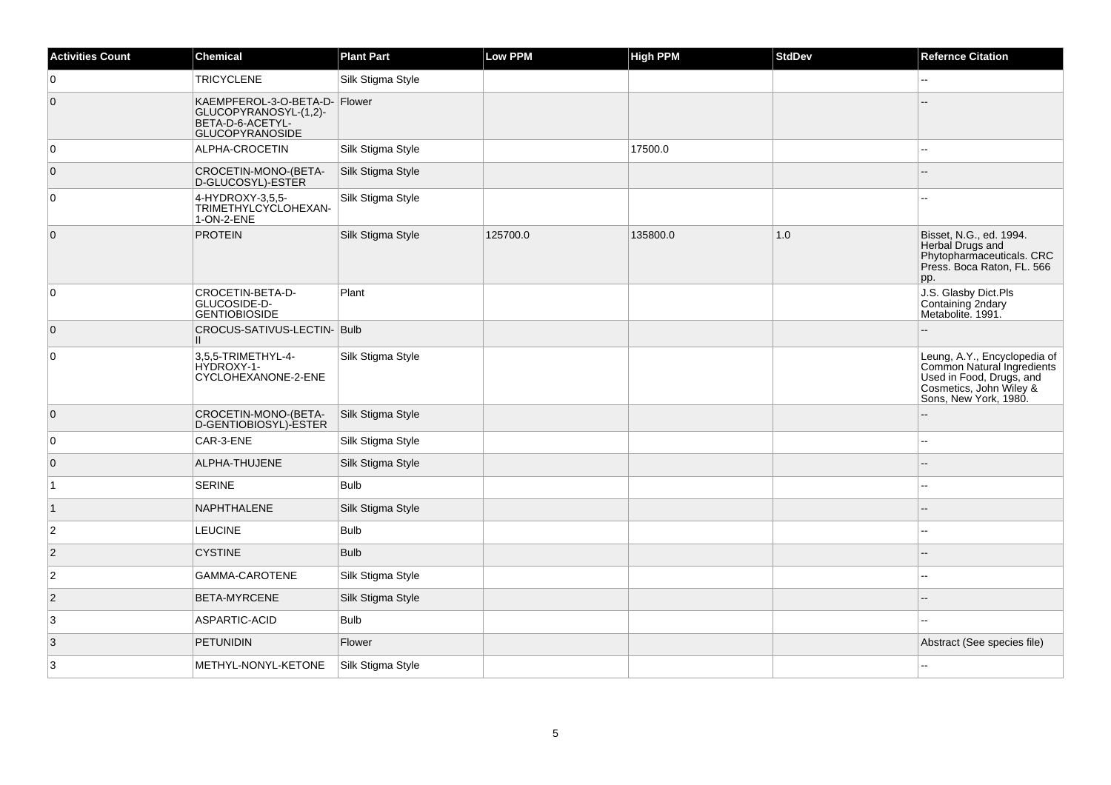| <b>Activities Count</b> | <b>Chemical</b>                                                                                      | <b>Plant Part</b> | Low PPM  | <b>High PPM</b> | <b>StdDev</b> | <b>Refernce Citation</b>                                                                                                                   |
|-------------------------|------------------------------------------------------------------------------------------------------|-------------------|----------|-----------------|---------------|--------------------------------------------------------------------------------------------------------------------------------------------|
| 0                       | <b>TRICYCLENE</b>                                                                                    | Silk Stigma Style |          |                 |               | $\sim$                                                                                                                                     |
| $\overline{0}$          | KAEMPFEROL-3-O-BETA-D- Flower<br>GLUCOPYRANOSYL-(1,2)-<br>BETA-D-6-ACETYL-<br><b>GLUCOPYRANOSIDE</b> |                   |          |                 |               |                                                                                                                                            |
| $\overline{0}$          | ALPHA-CROCETIN                                                                                       | Silk Stigma Style |          | 17500.0         |               |                                                                                                                                            |
| $\overline{0}$          | CROCETIN-MONO-(BETA-<br>D-GLUCOSYL)-ESTÈR                                                            | Silk Stigma Style |          |                 |               |                                                                                                                                            |
| $\overline{0}$          | 4-HYDROXY-3,5,5-<br>TRIMETHYLCYCLOHEXAN-<br>1-ON-2-ENE                                               | Silk Stigma Style |          |                 |               |                                                                                                                                            |
| $\overline{0}$          | <b>PROTEIN</b>                                                                                       | Silk Stigma Style | 125700.0 | 135800.0        | 1.0           | Bisset, N.G., ed. 1994.<br>Herbal Drugs and<br>Phytopharmaceuticals. CRC<br>Press. Boca Raton, FL. 566<br>pp.                              |
| 0                       | CROCETIN-BETA-D-<br>GLUCOSIDE-D-<br><b>GENTIOBIOSIDE</b>                                             | Plant             |          |                 |               | J.S. Glasby Dict.Pls<br>Containing 2ndary<br>Metabolite. 1991.                                                                             |
| $\overline{0}$          | CROCUS-SATIVUS-LECTIN- Bulb<br>Ш.                                                                    |                   |          |                 |               |                                                                                                                                            |
| $\overline{0}$          | 3,5,5-TRIMETHYL-4-<br>HYDROXY-1-<br>CYCLOHEXANONE-2-ENE                                              | Silk Stigma Style |          |                 |               | Leung, A.Y., Encyclopedia of<br>Common Natural Ingredients<br>Used in Food, Drugs, and<br>Cosmetics, John Wiley &<br>Sons, New York, 1980. |
| $\overline{0}$          | CROCETIN-MONO-(BETA-<br>D-GENTIOBIOSYL)-ESTER                                                        | Silk Stigma Style |          |                 |               |                                                                                                                                            |
| $\overline{0}$          | CAR-3-ENE                                                                                            | Silk Stigma Style |          |                 |               | $-$                                                                                                                                        |
| $\overline{0}$          | ALPHA-THUJENE                                                                                        | Silk Stigma Style |          |                 |               |                                                                                                                                            |
| $\overline{1}$          | <b>SERINE</b>                                                                                        | <b>Bulb</b>       |          |                 |               |                                                                                                                                            |
| $\vert$ 1               | NAPHTHALENE                                                                                          | Silk Stigma Style |          |                 |               |                                                                                                                                            |
| $\overline{2}$          | <b>LEUCINE</b>                                                                                       | <b>Bulb</b>       |          |                 |               |                                                                                                                                            |
| $\vert$ 2               | <b>CYSTINE</b>                                                                                       | <b>Bulb</b>       |          |                 |               | $\sim$                                                                                                                                     |
| $\overline{c}$          | GAMMA-CAROTENE                                                                                       | Silk Stigma Style |          |                 |               |                                                                                                                                            |
| $\vert$ 2               | <b>BETA-MYRCENE</b>                                                                                  | Silk Stigma Style |          |                 |               |                                                                                                                                            |
| 3                       | ASPARTIC-ACID                                                                                        | <b>Bulb</b>       |          |                 |               |                                                                                                                                            |
| 3                       | <b>PETUNIDIN</b>                                                                                     | Flower            |          |                 |               | Abstract (See species file)                                                                                                                |
| 3                       | METHYL-NONYL-KETONE                                                                                  | Silk Stigma Style |          |                 |               |                                                                                                                                            |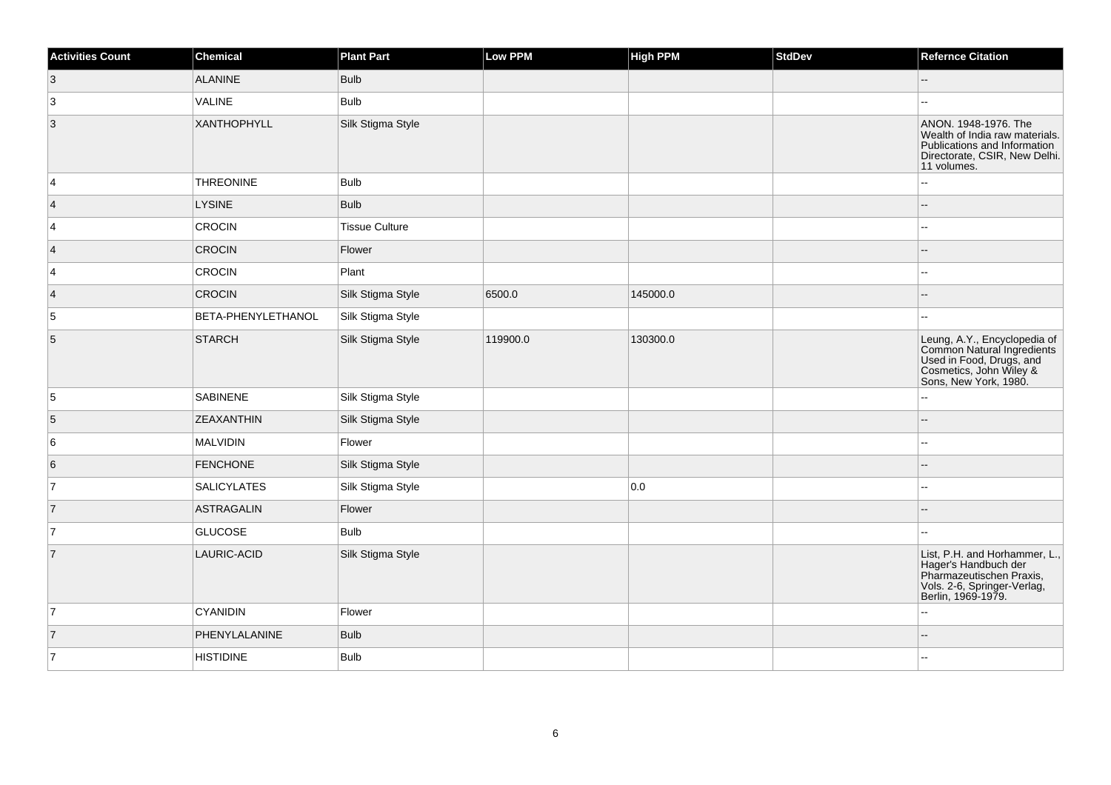| <b>Activities Count</b> | <b>Chemical</b>    | <b>Plant Part</b>     | Low PPM  | <b>High PPM</b> | <b>StdDev</b> | <b>Refernce Citation</b>                                                                                                                   |
|-------------------------|--------------------|-----------------------|----------|-----------------|---------------|--------------------------------------------------------------------------------------------------------------------------------------------|
| $\vert 3 \vert$         | <b>ALANINE</b>     | <b>Bulb</b>           |          |                 |               | ш,                                                                                                                                         |
| 3                       | VALINE             | <b>Bulb</b>           |          |                 |               |                                                                                                                                            |
| $\overline{3}$          | <b>XANTHOPHYLL</b> | Silk Stigma Style     |          |                 |               | ANON. 1948-1976. The<br>Wealth of India raw materials.<br>Publications and Information<br>Directorate, CSIR, New Delhi.<br>11 volumes.     |
| 4                       | <b>THREONINE</b>   | <b>Bulb</b>           |          |                 |               |                                                                                                                                            |
| $\vert$ 4               | <b>LYSINE</b>      | <b>Bulb</b>           |          |                 |               | --                                                                                                                                         |
| $\vert$ 4               | CROCIN             | <b>Tissue Culture</b> |          |                 |               | --                                                                                                                                         |
| $\vert 4 \vert$         | <b>CROCIN</b>      | Flower                |          |                 |               |                                                                                                                                            |
| $\vert$ 4               | CROCIN             | Plant                 |          |                 |               | --                                                                                                                                         |
| $\vert 4 \vert$         | <b>CROCIN</b>      | Silk Stigma Style     | 6500.0   | 145000.0        |               |                                                                                                                                            |
| $\overline{5}$          | BETA-PHENYLETHANOL | Silk Stigma Style     |          |                 |               | --                                                                                                                                         |
| 5                       | STARCH             | Silk Stigma Style     | 119900.0 | 130300.0        |               | Leung, A.Y., Encyclopedia of<br>Common Natural Ingredients<br>Used in Food, Drugs, and<br>Cosmetics, John Wiley &<br>Sons, New York, 1980. |
| 5                       | <b>SABINENE</b>    | Silk Stigma Style     |          |                 |               | $-1$                                                                                                                                       |
| 5                       | <b>ZEAXANTHIN</b>  | Silk Stigma Style     |          |                 |               |                                                                                                                                            |
| 6                       | MALVIDIN           | Flower                |          |                 |               | --                                                                                                                                         |
| 6                       | <b>FENCHONE</b>    | Silk Stigma Style     |          |                 |               |                                                                                                                                            |
| 17                      | <b>SALICYLATES</b> | Silk Stigma Style     |          | 0.0             |               | $\overline{a}$                                                                                                                             |
| 7                       | <b>ASTRAGALIN</b>  | Flower                |          |                 |               |                                                                                                                                            |
| 7                       | <b>GLUCOSE</b>     | <b>Bulb</b>           |          |                 |               | ۵.                                                                                                                                         |
| $\overline{7}$          | LAURIC-ACID        | Silk Stigma Style     |          |                 |               | List, P.H. and Horhammer, L.,<br>Hager's Handbuch der<br>Pharmazeutischen Praxis,<br>Vols. 2-6, Springer-Verlag,<br>Berlin, 1969-1979.     |
| $\overline{7}$          | <b>CYANIDIN</b>    | Flower                |          |                 |               |                                                                                                                                            |
| 7                       | PHENYLALANINE      | <b>Bulb</b>           |          |                 |               | --                                                                                                                                         |
| 7                       | <b>HISTIDINE</b>   | <b>Bulb</b>           |          |                 |               | --                                                                                                                                         |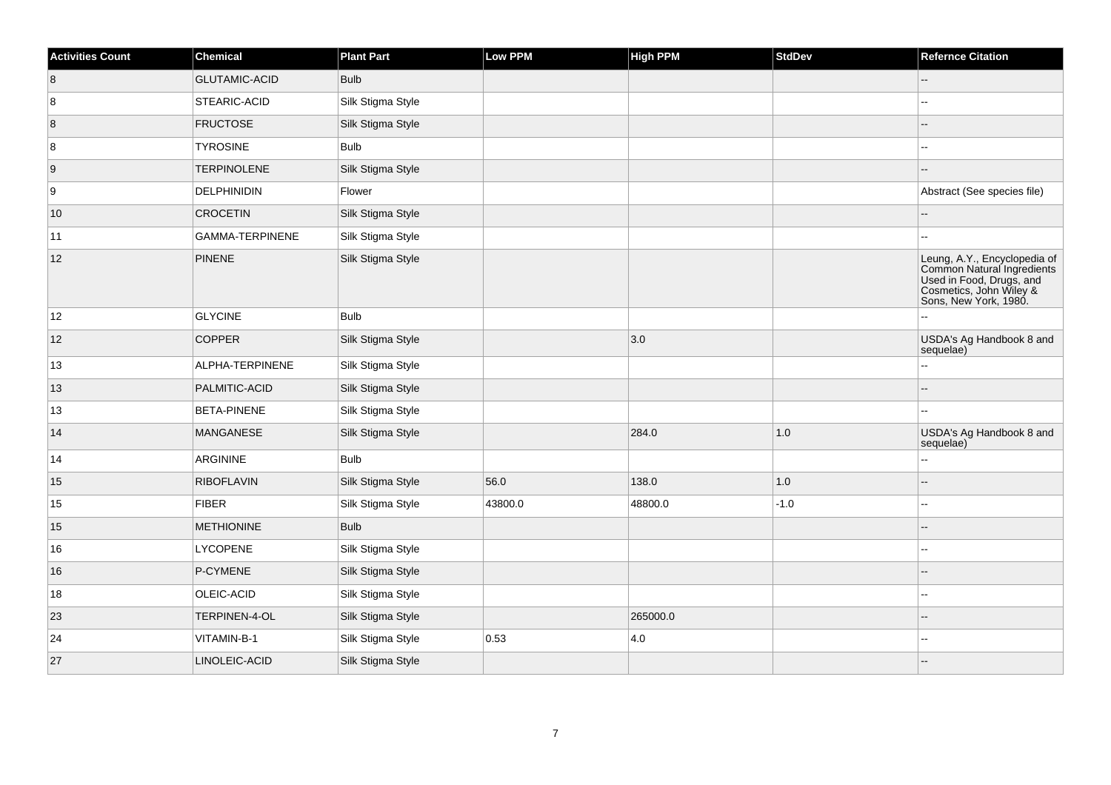| <b>Activities Count</b> | <b>Chemical</b>      | <b>Plant Part</b> | Low PPM | <b>High PPM</b> | <b>StdDev</b> | <b>Refernce Citation</b>                                                                                                                   |
|-------------------------|----------------------|-------------------|---------|-----------------|---------------|--------------------------------------------------------------------------------------------------------------------------------------------|
| 8                       | <b>GLUTAMIC-ACID</b> | <b>Bulb</b>       |         |                 |               | Щ.                                                                                                                                         |
| 8                       | <b>STEARIC-ACID</b>  | Silk Stigma Style |         |                 |               |                                                                                                                                            |
| 8                       | <b>FRUCTOSE</b>      | Silk Stigma Style |         |                 |               |                                                                                                                                            |
| 8                       | <b>TYROSINE</b>      | <b>Bulb</b>       |         |                 |               | ц,                                                                                                                                         |
| 9                       | <b>TERPINOLENE</b>   | Silk Stigma Style |         |                 |               |                                                                                                                                            |
| 9                       | DELPHINIDIN          | Flower            |         |                 |               | Abstract (See species file)                                                                                                                |
| 10                      | <b>CROCETIN</b>      | Silk Stigma Style |         |                 |               | ц,                                                                                                                                         |
| 11                      | GAMMA-TERPINENE      | Silk Stigma Style |         |                 |               |                                                                                                                                            |
| 12                      | PINENE               | Silk Stigma Style |         |                 |               | Leung, A.Y., Encyclopedia of<br>Common Natural Ingredients<br>Used in Food, Drugs, and<br>Cosmetics, John Wiley &<br>Sons, New York, 1980. |
| 12                      | <b>GLYCINE</b>       | <b>Bulb</b>       |         |                 |               |                                                                                                                                            |
| 12                      | <b>COPPER</b>        | Silk Stigma Style |         | 3.0             |               | USDA's Ag Handbook 8 and<br>sequelae)                                                                                                      |
| 13                      | ALPHA-TERPINENE      | Silk Stigma Style |         |                 |               | ż,                                                                                                                                         |
| 13                      | PALMITIC-ACID        | Silk Stigma Style |         |                 |               |                                                                                                                                            |
| 13                      | <b>BETA-PINENE</b>   | Silk Stigma Style |         |                 |               |                                                                                                                                            |
| 14                      | MANGANESE            | Silk Stigma Style |         | 284.0           | $1.0$         | USDA's Ag Handbook 8 and<br>sequelae)                                                                                                      |
| 14                      | ARGININE             | Bulb              |         |                 |               | --                                                                                                                                         |
| $15\,$                  | <b>RIBOFLAVIN</b>    | Silk Stigma Style | 56.0    | 138.0           | 1.0           |                                                                                                                                            |
| 15                      | FIBER                | Silk Stigma Style | 43800.0 | 48800.0         | $-1.0$        | ۵۵                                                                                                                                         |
| 15                      | <b>METHIONINE</b>    | <b>Bulb</b>       |         |                 |               |                                                                                                                                            |
| 16                      | <b>LYCOPENE</b>      | Silk Stigma Style |         |                 |               | --                                                                                                                                         |
| 16                      | P-CYMENE             | Silk Stigma Style |         |                 |               |                                                                                                                                            |
| 18                      | OLEIC-ACID           | Silk Stigma Style |         |                 |               |                                                                                                                                            |
| 23                      | TERPINEN-4-OL        | Silk Stigma Style |         | 265000.0        |               |                                                                                                                                            |
| 24                      | VITAMIN-B-1          | Silk Stigma Style | 0.53    | 4.0             |               | --                                                                                                                                         |
| 27                      | LINOLEIC-ACID        | Silk Stigma Style |         |                 |               |                                                                                                                                            |